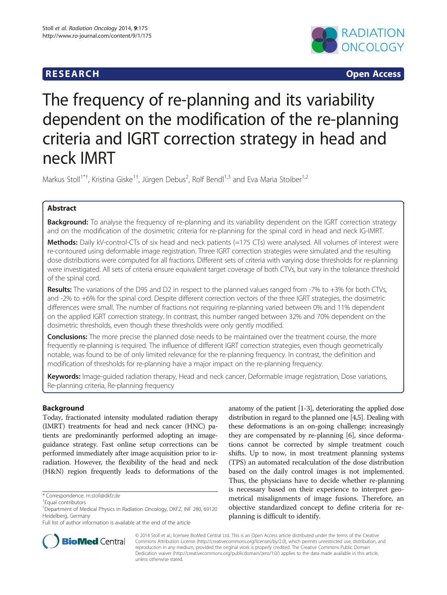# **RESEARCH RESEARCH CONSUMING ACCESS**



# The frequency of re-planning and its variability dependent on the modification of the re-planning criteria and IGRT correction strategy in head and neck IMRT

Markus Stoll<sup>1\*†</sup>, Kristina Giske<sup>1†</sup>, Jürgen Debus<sup>2</sup>, Rolf Bendl<sup>1,3</sup> and Eva Maria Stoiber<sup>1,2</sup>

# Abstract

**Background:** To analyse the frequency of re-planning and its variability dependent on the IGRT correction strategy and on the modification of the dosimetric criteria for re-planning for the spinal cord in head and neck IG-IMRT.

Methods: Daily kV-control-CTs of six head and neck patients (=175 CTs) were analysed. All volumes of interest were re-contoured using deformable image registration. Three IGRT correction strategies were simulated and the resulting dose distributions were computed for all fractions. Different sets of criteria with varying dose thresholds for re-planning were investigated. All sets of criteria ensure equivalent target coverage of both CTVs, but vary in the tolerance threshold of the spinal cord.

Results: The variations of the D95 and D2 in respect to the planned values ranged from -7% to +3% for both CTVs, and -2% to +6% for the spinal cord. Despite different correction vectors of the three IGRT strategies, the dosimetric differences were small. The number of fractions not requiring re-planning varied between 0% and 11% dependent on the applied IGRT correction strategy. In contrast, this number ranged between 32% and 70% dependent on the dosimetric thresholds, even though these thresholds were only gently modified.

**Conclusions:** The more precise the planned dose needs to be maintained over the treatment course, the more frequently re-planning is required. The influence of different IGRT correction strategies, even though geometrically notable, was found to be of only limited relevance for the re-planning frequency. In contrast, the definition and modification of thresholds for re-planning have a major impact on the re-planning frequency.

Keywords: Image-guided radiation therapy, Head and neck cancer, Deformable image registration, Dose variations, Re-planning criteria, Re-planning frequency

# Background

Today, fractionated intensity modulated radiation therapy (IMRT) treatments for head and neck cancer (HNC) patients are predominantly performed adopting an imageguidance strategy. Fast online setup corrections can be performed immediately after image acquisition prior to irradiation. However, the flexibility of the head and neck (H&N) region frequently leads to deformations of the

anatomy of the patient [\[1-3](#page-6-0)], deteriorating the applied dose distribution in regard to the planned one [[4,5](#page-6-0)]. Dealing with these deformations is an on-going challenge; increasingly they are compensated by re-planning [\[6](#page-6-0)], since deformations cannot be corrected by simple treatment couch shifts. Up to now, in most treatment planning systems (TPS) an automated recalculation of the dose distribution based on the daily control images is not implemented. Thus, the physicians have to decide whether re-planning is necessary based on their experience to interpret geometrical misalignments of image fusions. Therefore, an objective standardized concept to define criteria for replanning is difficult to identify.



© 2014 Stoll et al.; licensee BioMed Central Ltd. This is an Open Access article distributed under the terms of the Creative Commons Attribution License [\(http://creativecommons.org/licenses/by/2.0\)](http://creativecommons.org/licenses/by/2.0), which permits unrestricted use, distribution, and reproduction in any medium, provided the original work is properly credited. The Creative Commons Public Domain Dedication waiver [\(http://creativecommons.org/publicdomain/zero/1.0/](http://creativecommons.org/publicdomain/zero/1.0/)) applies to the data made available in this article, unless otherwise stated.

<sup>\*</sup> Correspondence: [m.stoll@dkfz.de](mailto:m.stoll@dkfz.de) †

Equal contributors

<sup>&</sup>lt;sup>1</sup>Department of Medical Physics in Radiation Oncology, DKFZ, INF 280, 69120 Heidelberg, Germany

Full list of author information is available at the end of the article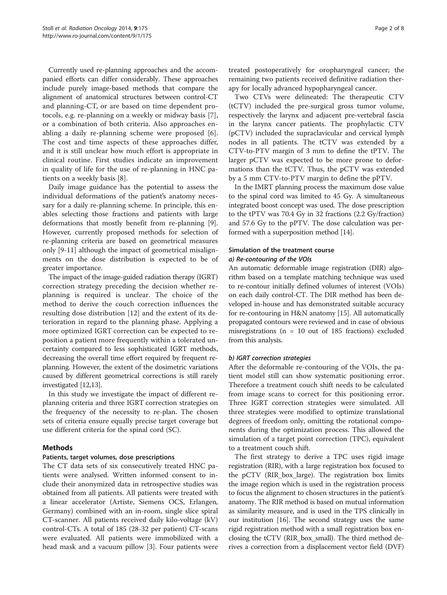Currently used re-planning approaches and the accompanied efforts can differ considerably. These approaches include purely image-based methods that compare the alignment of anatomical structures between control-CT and planning-CT, or are based on time dependent protocols, e.g. re-planning on a weekly or midway basis [\[7](#page-6-0)], or a combination of both criteria. Also approaches enabling a daily re-planning scheme were proposed [\[6](#page-6-0)]. The cost and time aspects of these approaches differ, and it is still unclear how much effort is appropriate in clinical routine. First studies indicate an improvement in quality of life for the use of re-planning in HNC patients on a weekly basis [[8\]](#page-6-0).

Daily image guidance has the potential to assess the individual deformations of the patient's anatomy necessary for a daily re-planning scheme. In principle, this enables selecting those fractions and patients with large deformations that mostly benefit from re-planning [\[9](#page-6-0)]. However, currently proposed methods for selection of re-planning criteria are based on geometrical measures only [\[9](#page-6-0)-[11\]](#page-6-0) although the impact of geometrical misalignments on the dose distribution is expected to be of greater importance.

The impact of the image-guided radiation therapy (IGRT) correction strategy preceding the decision whether replanning is required is unclear. The choice of the method to derive the couch correction influences the resulting dose distribution [\[12](#page-6-0)] and the extent of its deterioration in regard to the planning phase. Applying a more optimized IGRT correction can be expected to reposition a patient more frequently within a tolerated uncertainty compared to less sophisticated IGRT methods, decreasing the overall time effort required by frequent replanning. However, the extent of the dosimetric variations caused by different geometrical corrections is still rarely investigated [[12,13\]](#page-6-0).

In this study we investigate the impact of different replanning criteria and three IGRT correction strategies on the frequency of the necessity to re-plan. The chosen sets of criteria ensure equally precise target coverage but use different criteria for the spinal cord (SC).

# Methods

# Patients, target volumes, dose prescriptions

The CT data sets of six consecutively treated HNC patients were analysed. Written informed consent to include their anonymized data in retrospective studies was obtained from all patients. All patients were treated with a linear accelerator (Artiste, Siemens OCS, Erlangen, Germany) combined with an in-room, single slice spiral CT-scanner. All patients received daily kilo-voltage (kV) control-CTs. A total of 185 (28-32 per patient) CT-scans were evaluated. All patients were immobilized with a head mask and a vacuum pillow [[3\]](#page-6-0). Four patients were treated postoperatively for oropharyngeal cancer; the remaining two patients received definitive radiation therapy for locally advanced hypopharyngeal cancer.

Two CTVs were delineated: The therapeutic CTV (tCTV) included the pre-surgical gross tumor volume, respectively the larynx and adjacent pre-vertebral fascia in the larynx cancer patients. The prophylactic CTV (pCTV) included the supraclavicular and cervical lymph nodes in all patients. The tCTV was extended by a CTV-to-PTV margin of 3 mm to define the tPTV. The larger pCTV was expected to be more prone to deformations than the tCTV. Thus, the pCTV was extended by a 5 mm CTV-to-PTV margin to define the pPTV.

In the IMRT planning process the maximum dose value to the spinal cord was limited to 45 Gy. A simultaneous integrated boost concept was used. The dose prescription to the tPTV was 70.4 Gy in 32 fractions (2.2 Gy/fraction) and 57.6 Gy to the pPTV. The dose calculation was performed with a superposition method [[14\]](#page-6-0).

# Simulation of the treatment course a) Re-contouring of the VOIs

An automatic deformable image registration (DIR) algorithm based on a template matching technique was used to re-contour initially defined volumes of interest (VOIs) on each daily control-CT. The DIR method has been developed in-house and has demonstrated suitable accuracy for re-contouring in H&N anatomy [[15\]](#page-7-0). All automatically propagated contours were reviewed and in case of obvious misregistrations ( $n = 10$  out of 185 fractions) excluded from this analysis.

# b) IGRT correction strategies

After the deformable re-contouring of the VOIs, the patient model still can show systematic positioning error. Therefore a treatment couch shift needs to be calculated from image scans to correct for this positioning error. Three IGRT correction strategies were simulated. All three strategies were modified to optimize translational degrees of freedom only, omitting the rotational components during the optimization process. This allowed the simulation of a target point correction (TPC), equivalent to a treatment couch shift.

The first strategy to derive a TPC uses rigid image registration (RIR), with a large registration box focused to the pCTV (RIR\_box\_large). The registration box limits the image region which is used in the registration process to focus the alignment to chosen structures in the patient's anatomy. The RIR method is based on mutual information as similarity measure, and is used in the TPS clinically in our institution [\[16\]](#page-7-0). The second strategy uses the same rigid registration method with a small registration box enclosing the tCTV (RIR\_box\_small). The third method derives a correction from a displacement vector field (DVF)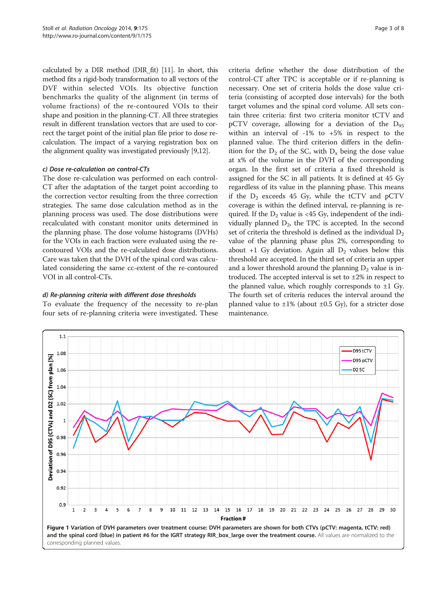<span id="page-2-0"></span>calculated by a DIR method (DIR\_fit) [\[11\]](#page-6-0). In short, this method fits a rigid-body transformation to all vectors of the DVF within selected VOIs. Its objective function benchmarks the quality of the alignment (in terms of volume fractions) of the re-contoured VOIs to their shape and position in the planning-CT. All three strategies result in different translation vectors that are used to correct the target point of the initial plan file prior to dose recalculation. The impact of a varying registration box on the alignment quality was investigated previously [\[9,12\]](#page-6-0).

### c) Dose re-calculation on control-CTs

The dose re-calculation was performed on each control-CT after the adaptation of the target point according to the correction vector resulting from the three correction strategies. The same dose calculation method as in the planning process was used. The dose distributions were recalculated with constant monitor units determined in the planning phase. The dose volume histograms (DVHs) for the VOIs in each fraction were evaluated using the recontoured VOIs and the re-calculated dose distributions. Care was taken that the DVH of the spinal cord was calculated considering the same cc-extent of the re-contoured VOI in all control-CTs.

#### d) Re-planning criteria with different dose thresholds

To evaluate the frequency of the necessity to re-plan four sets of re-planning criteria were investigated. These criteria define whether the dose distribution of the control-CT after TPC is acceptable or if re-planning is necessary. One set of criteria holds the dose value criteria (consisting of accepted dose intervals) for the both target volumes and the spinal cord volume. All sets contain three criteria: first two criteria monitor tCTV and pCTV coverage, allowing for a deviation of the  $D_{95}$ within an interval of -1% to +5% in respect to the planned value. The third criterion differs in the definition for the  $D_2$  of the SC, with  $D_x$  being the dose value at x% of the volume in the DVH of the corresponding organ. In the first set of criteria a fixed threshold is assigned for the SC in all patients. It is defined at 45 Gy regardless of its value in the planning phase. This means if the  $D_2$  exceeds 45 Gy, while the tCTV and pCTV coverage is within the defined interval, re-planning is required. If the  $D_2$  value is <45 Gy, independent of the individually planned  $D_2$ , the TPC is accepted. In the second set of criteria the threshold is defined as the individual  $D_2$ value of the planning phase plus 2%, corresponding to about +1 Gy deviation. Again all  $D_2$  values below this threshold are accepted. In the third set of criteria an upper and a lower threshold around the planning  $D_2$  value is introduced. The accepted interval is set to  $\pm 2\%$  in respect to the planned value, which roughly corresponds to  $\pm 1$  Gy. The fourth set of criteria reduces the interval around the planned value to  $\pm 1\%$  (about  $\pm 0.5$  Gy), for a stricter dose maintenance.

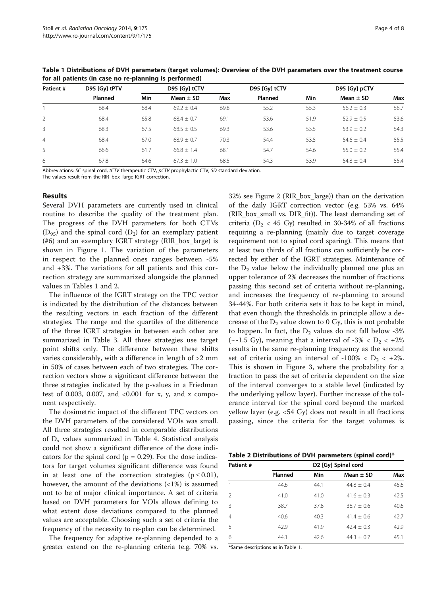| Patient #      | D95 [Gy] tPTV | D95 [Gy] tCTV |               |      | D95 [Gy] tCTV | D95 [Gy] pCTV |                |      |
|----------------|---------------|---------------|---------------|------|---------------|---------------|----------------|------|
|                | Planned       | Min           | Mean $\pm$ SD | Max  | Planned       | Min           | Mean $\pm$ SD  | Max  |
|                | 68.4          | 68.4          | $69.2 + 0.4$  | 69.8 | 55.2          | 55.3          | $56.2 \pm 0.3$ | 56.7 |
| $\mathcal{L}$  | 68.4          | 65.8          | $68.4 + 0.7$  | 69.1 | 53.6          | 51.9          | $52.9 + 0.5$   | 53.6 |
| 3              | 68.3          | 67.5          | $68.5 + 0.5$  | 69.3 | 53.6          | 53.5          | $53.9 \pm 0.2$ | 54.3 |
| $\overline{4}$ | 68.4          | 67.0          | $68.9 + 0.7$  | 70.3 | 54.4          | 53.5          | $54.6 \pm 0.4$ | 55.5 |
| 5              | 66.6          | 61.7          | $66.8 + 1.4$  | 68.1 | 54.7          | 54.6          | $55.0 \pm 0.2$ | 55.4 |
| 6              | 67.8          | 64.6          | $67.3 + 1.0$  | 68.5 | 54.3          | 53.9          | $54.8 \pm 0.4$ | 55.4 |

<span id="page-3-0"></span>Table 1 Distributions of DVH parameters (target volumes): Overview of the DVH parameters over the treatment course for all patients (in case no re-planning is performed)

Abbreviations: SC spinal cord, tCTV therapeutic CTV, pCTV prophylactic CTV, SD standard deviation. The values result from the RIR\_box\_large IGRT correction.

#### Results

Several DVH parameters are currently used in clinical routine to describe the quality of the treatment plan. The progress of the DVH parameters for both CTVs  $(D_{95})$  and the spinal cord  $(D_2)$  for an exemplary patient (#6) and an exemplary IGRT strategy (RIR\_box\_large) is shown in Figure [1.](#page-2-0) The variation of the parameters in respect to the planned ones ranges between -5% and +3%. The variations for all patients and this correction strategy are summarized alongside the planned values in Tables 1 and 2.

The influence of the IGRT strategy on the TPC vector is indicated by the distribution of the distances between the resulting vectors in each fraction of the different strategies. The range and the quartiles of the difference of the three IGRT strategies in between each other are summarized in Table [3](#page-4-0). All three strategies use target point shifts only. The difference between these shifts varies considerably, with a difference in length of >2 mm in 50% of cases between each of two strategies. The correction vectors show a significant difference between the three strategies indicated by the p-values in a Friedman test of 0.003, 0.007, and <0.001 for x, y, and z component respectively.

The dosimetric impact of the different TPC vectors on the DVH parameters of the considered VOIs was small. All three strategies resulted in comparable distributions of  $D_x$  values summarized in Table [4.](#page-4-0) Statistical analysis could not show a significant difference of the dose indicators for the spinal cord ( $p = 0.29$ ). For the dose indicators for target volumes significant difference was found in at least one of the correction strategies ( $p \le 0.01$ ), however, the amount of the deviations  $\left\langle \langle 1\% \rangle \right\rangle$  is assumed not to be of major clinical importance. A set of criteria based on DVH parameters for VOIs allows defining to what extent dose deviations compared to the planned values are acceptable. Choosing such a set of criteria the frequency of the necessity to re-plan can be determined.

The frequency for adaptive re-planning depended to a greater extend on the re-planning criteria (e.g. 70% vs. 32% see Figure [2](#page-5-0) (RIR\_box\_large)) than on the derivation of the daily IGRT correction vector (e.g. 53% vs. 64% (RIR\_box\_small vs. DIR\_fit)). The least demanding set of criteria ( $D_2$  < 45 Gy) resulted in 30-34% of all fractions requiring a re-planning (mainly due to target coverage requirement not to spinal cord sparing). This means that at least two thirds of all fractions can sufficiently be corrected by either of the IGRT strategies. Maintenance of the  $D_2$  value below the individually planned one plus an upper tolerance of 2% decreases the number of fractions passing this second set of criteria without re-planning, and increases the frequency of re-planning to around 34-44%. For both criteria sets it has to be kept in mind, that even though the thresholds in principle allow a decrease of the  $D_2$  value down to 0 Gy, this is not probable to happen. In fact, the  $D_2$  values do not fall below -3% ( $\sim$ -1.5 Gy), meaning that a interval of -3% < D<sub>2</sub> < +2% results in the same re-planning frequency as the second set of criteria using an interval of -100%  $$D_2 < +2\%$ .$ This is shown in Figure [3,](#page-5-0) where the probability for a fraction to pass the set of criteria dependent on the size of the interval converges to a stable level (indicated by the underlying yellow layer). Further increase of the tolerance interval for the spinal cord beyond the marked yellow layer (e.g. <54 Gy) does not result in all fractions passing, since the criteria for the target volumes is

|  | Table 2 Distributions of DVH parameters (spinal cord)* |  |  |  |  |  |
|--|--------------------------------------------------------|--|--|--|--|--|
|--|--------------------------------------------------------|--|--|--|--|--|

| Patient #      |         | D2 [Gy] Spinal cord |               |      |  |  |  |  |
|----------------|---------|---------------------|---------------|------|--|--|--|--|
|                | Planned | Min                 | Mean $\pm$ SD | Max  |  |  |  |  |
|                | 44.6    | 44.1                | $44.8 + 0.4$  | 45.6 |  |  |  |  |
| $\mathcal{L}$  | 41.0    | 41.0                | $41.6 + 0.3$  | 42.5 |  |  |  |  |
| $\mathcal{R}$  | 38.7    | 37.8                | $38.7 + 0.6$  | 40.6 |  |  |  |  |
| $\overline{4}$ | 40.6    | 40.3                | $41.4 + 0.6$  | 42.7 |  |  |  |  |
| 5              | 42.9    | 41.9                | $42.4 + 0.3$  | 42.9 |  |  |  |  |
| 6              | 44.1    | 42.6                | $44.3 + 0.7$  | 45.1 |  |  |  |  |

\*Same descriptions as in Table 1.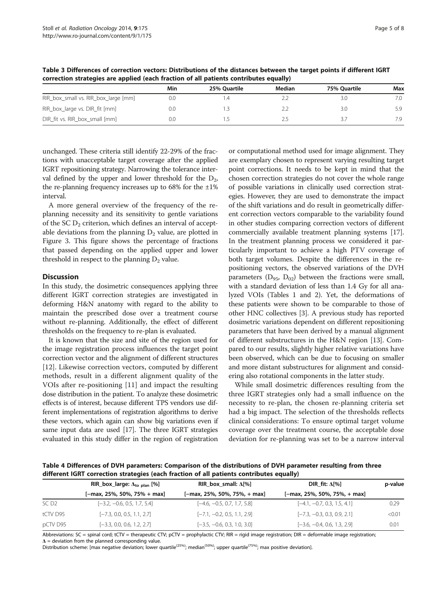|                                      | Min | 25% Ouartile | Median | 75% Ouartile | Max |
|--------------------------------------|-----|--------------|--------|--------------|-----|
| RIR_box_small vs. RIR_box_large [mm] | 0.0 | $\cdot$      |        | 3.0          | 7.0 |
| RIR_box_large vs. DIR_fit [mm]       | 0.0 |              |        | 3.0          | 5.9 |
| DIR_fit vs. RIR_box_small [mm]       | 0.0 |              | 2.5    | -3.7         | 7.9 |

<span id="page-4-0"></span>Table 3 Differences of correction vectors: Distributions of the distances between the target points if different IGRT correction strategies are applied (each fraction of all patients contributes equally)

unchanged. These criteria still identify 22-29% of the fractions with unacceptable target coverage after the applied IGRT repositioning strategy. Narrowing the tolerance interval defined by the upper and lower threshold for the  $D_2$ , the re-planning frequency increases up to  $68\%$  for the  $\pm 1\%$ interval.

A more general overview of the frequency of the replanning necessity and its sensitivity to gentle variations of the SC  $D_2$  criterion, which defines an interval of acceptable deviations from the planning  $D_2$  value, are plotted in Figure [3.](#page-5-0) This figure shows the percentage of fractions that passed depending on the applied upper and lower threshold in respect to the planning  $D_2$  value.

### **Discussion**

In this study, the dosimetric consequences applying three different IGRT correction strategies are investigated in deforming H&N anatomy with regard to the ability to maintain the prescribed dose over a treatment course without re-planning. Additionally, the effect of different thresholds on the frequency to re-plan is evaluated.

It is known that the size and site of the region used for the image registration process influences the target point correction vector and the alignment of different structures [[12\]](#page-6-0). Likewise correction vectors, computed by different methods, result in a different alignment quality of the VOIs after re-positioning [[11\]](#page-6-0) and impact the resulting dose distribution in the patient. To analyze these dosimetric effects is of interest, because different TPS vendors use different implementations of registration algorithms to derive these vectors, which again can show big variations even if same input data are used [[17](#page-7-0)]. The three IGRT strategies evaluated in this study differ in the region of registration or computational method used for image alignment. They are exemplary chosen to represent varying resulting target point corrections. It needs to be kept in mind that the chosen correction strategies do not cover the whole range of possible variations in clinically used correction strategies. However, they are used to demonstrate the impact of the shift variations and do result in geometrically different correction vectors comparable to the variability found in other studies comparing correction vectors of different commercially available treatment planning systems [[17](#page-7-0)]. In the treatment planning process we considered it particularly important to achieve a high PTV coverage of both target volumes. Despite the differences in the repositioning vectors, the observed variations of the DVH parameters ( $D_{95}$ ,  $D_{02}$ ) between the fractions were small, with a standard deviation of less than 1.4 Gy for all analyzed VOIs (Tables [1](#page-3-0) and [2](#page-3-0)). Yet, the deformations of these patients were shown to be comparable to those of other HNC collectives [[3\]](#page-6-0). A previous study has reported dosimetric variations dependent on different repositioning parameters that have been derived by a manual alignment of different substructures in the H&N region [[13](#page-6-0)]. Compared to our results, slightly higher relative variations have been observed, which can be due to focusing on smaller and more distant substructures for alignment and considering also rotational components in the latter study.

While small dosimetric differences resulting from the three IGRT strategies only had a small influence on the necessity to re-plan, the chosen re-planning criteria set had a big impact. The selection of the thresholds reflects clinical considerations: To ensure optimal target volume coverage over the treatment course, the acceptable dose deviation for re-planning was set to be a narrow interval

Table 4 Differences of DVH parameters: Comparison of the distributions of DVH parameter resulting from three different IGRT correction strategies (each fraction of all patients contributes equally)

|                  | RIR_box_large: $\Delta_{\text{to plan}}$ [%] | RIR_box_small: $\Delta$ [%]       | DIR fit: $\Delta$ [%]             | p-value |  |
|------------------|----------------------------------------------|-----------------------------------|-----------------------------------|---------|--|
|                  | $[-max, 25\%, 50\%, 75\% + max]$             | $[-max, 25\%, 50\%, 75\%, + max]$ | $[-max, 25\%, 50\%, 75\%, + max]$ |         |  |
| SC <sub>D2</sub> | $[-3.2, -0.6, 0.5, 1.7, 5.4]$                | $[-4.6, -0.5, 0.7, 1.7, 5.8]$     | $[-4.1, -0.7, 0.3, 1.5, 4.1]$     | 0.29    |  |
| tCTV D95         | $[-7.3, 0.0, 0.5, 1.1, 2.7]$                 | $[-7.1, -0.2, 0.5, 1.1, 2.9]$     | $[-7.3, -0.3, 0.3, 0.9, 2.1]$     | < 0.01  |  |
| pCTV D95         | $[-3.3, 0.0, 0.6, 1.2, 2.7]$                 | $[-3.5, -0.6, 0.3, 1.0, 3.0]$     | $[-3.6, -0.4, 0.6, 1.3, 2.9]$     | 0.01    |  |

Abbreviations: SC = spinal cord; tCTV = therapeutic CTV; pCTV = prophylactic CTV; RIR = rigid image registration; DIR = deformable image registration;  $\Delta$  = deviation from the planned corresponding value.

Distribution scheme: [max negative deviation; lower quartile<sup>(25%)</sup>; median<sup>(50%)</sup>; upper quartile<sup>(75%)</sup>; max positive deviation].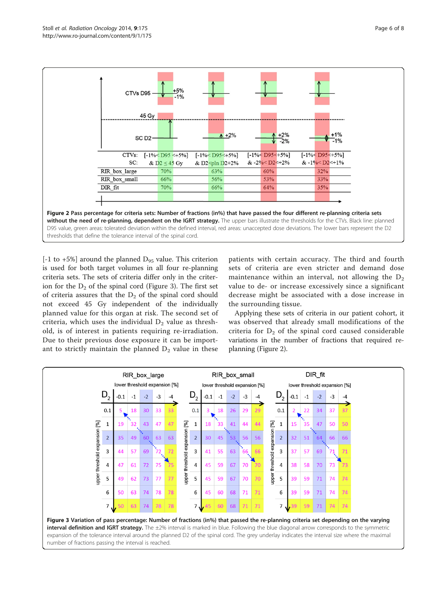<span id="page-5-0"></span>

 $[-1 \text{ to } +5\%]$  around the planned  $D_{95}$  value. This criterion is used for both target volumes in all four re-planning criteria sets. The sets of criteria differ only in the criterion for the  $D_2$  of the spinal cord (Figure 3). The first set of criteria assures that the  $D_2$  of the spinal cord should not exceed 45 Gy independent of the individually planned value for this organ at risk. The second set of criteria, which uses the individual  $D_2$  value as threshold, is of interest in patients requiring re-irradiation. Due to their previous dose exposure it can be important to strictly maintain the planned  $D_2$  value in these

patients with certain accuracy. The third and fourth sets of criteria are even stricter and demand dose maintenance within an interval, not allowing the  $D_2$ value to de- or increase excessively since a significant decrease might be associated with a dose increase in the surrounding tissue.

Applying these sets of criteria in our patient cohort, it was observed that already small modifications of the criteria for  $D_2$  of the spinal cord caused considerable variations in the number of fractions that required replanning (Figure 2).

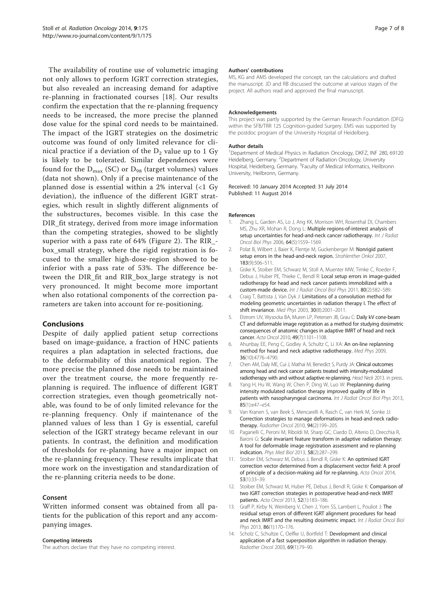<span id="page-6-0"></span>The availability of routine use of volumetric imaging not only allows to perform IGRT correction strategies, but also revealed an increasing demand for adaptive re-planning in fractionated courses [[18](#page-7-0)]. Our results confirm the expectation that the re-planning frequency needs to be increased, the more precise the planned dose value for the spinal cord needs to be maintained. The impact of the IGRT strategies on the dosimetric outcome was found of only limited relevance for clinical practice if a deviation of the  $D_2$  value up to 1 Gy is likely to be tolerated. Similar dependences were found for the  $D_{\text{max}}$  (SC) or  $D_{98}$  (target volumes) values (data not shown). Only if a precise maintenance of the planned dose is essential within a 2% interval  $\langle$ <1 Gy deviation), the influence of the different IGRT strategies, which result in slightly different alignments of the substructures, becomes visible. In this case the DIR\_fit strategy, derived from more image information than the competing strategies, showed to be slightly superior with a pass rate of 64% (Figure [2](#page-5-0)). The RIR\_ box\_small strategy, where the rigid registration is focused to the smaller high-dose-region showed to be inferior with a pass rate of 53%. The difference between the DIR\_fit and RIR\_box\_large strategy is not very pronounced. It might become more important when also rotational components of the correction parameters are taken into account for re-positioning.

# Conclusions

Despite of daily applied patient setup corrections based on image-guidance, a fraction of HNC patients requires a plan adaptation in selected fractions, due to the deformability of this anatomical region. The more precise the planned dose needs to be maintained over the treatment course, the more frequently replanning is required. The influence of different IGRT correction strategies, even though geometrically notable, was found to be of only limited relevance for the re-planning frequency. Only if maintenance of the planned values of less than 1 Gy is essential, careful selection of the IGRT strategy became relevant in our patients. In contrast, the definition and modification of thresholds for re-planning have a major impact on the re-planning frequency. These results implicate that more work on the investigation and standardization of the re-planning criteria needs to be done.

#### Consent

Written informed consent was obtained from all patients for the publication of this report and any accompanying images.

# Competing interests

The authors declare that they have no competing interest.

#### Authors' contributions

MS, KG and AMS developed the concept, ran the calculations and drafted the manuscript. JD and RB discussed the outcome at various stages of the project. All authors read and approved the final manuscript.

#### Acknowledgements

This project was partly supported by the German Research Foundation (DFG) within the SFB/TRR 125 Cognition-guided Surgery. EMS was supported by the postdoc program of the University Hospital of Heidelberg.

#### Author details

<sup>1</sup>Department of Medical Physics in Radiation Oncology, DKFZ, INF 280, 69120 Heidelberg, Germany. <sup>2</sup>Department of Radiation Oncology, University Hospital, Heidelberg, Germany. <sup>3</sup> Faculty of Medical Informatics, Heilbronn University, Heilbronn, Germany.

#### Received: 10 January 2014 Accepted: 31 July 2014 Published: 11 August 2014

#### References

- 1. Zhang L, Garden AS, Lo J, Ang KK, Morrison WH, Rosenthal DI, Chambers MS, Zhu XR, Mohan R, Dong L: Multiple regions-of-interest analysis of setup uncertainties for head-and-neck cancer radiotherapy. Int J Radiat Oncol Biol Phys 2006, 64(5):1559–1569.
- Polat B, Wilbert J, Baier K, Flentje M, Guckenberger M: Nonrigid patient setup errors in the head-and-neck region. Strahlenther Onkol 2007, 183(9):506–511.
- 3. Giske K, Stoiber EM, Schwarz M, Stoll A, Muenter MW, Timke C, Roeder F, Debus J, Huber PE, Thieke C, Bendl R: Local setup errors in image-guided radiotherapy for head and neck cancer patients immobilized with a custom-made device. Int J Radiat Oncol Biol Phys 2011, 80(2):582–589.
- 4. Craig T, Battista J, Van Dyk J: Limitations of a convolution method for modeling geometric uncertainties in radiation therapy I. The effect of shift invariance. Med Phys 2003, 30(8):2001–2011.
- 5. Elstrom UV, Wysocka BA, Muren LP, Petersen JB, Grau C: Daily kV cone-beam CT and deformable image registration as a method for studying dosimetric consequences of anatomic changes in adaptive IMRT of head and neck cancer. Acta Oncol 2010, 49(7):1101–1108.
- 6. Ahunbay EE, Peng C, Godley A, Schultz C, Li XA: An on-line replanning method for head and neck adaptive radiotherapy. Med Phys 2009, 36(10):4776–4790.
- 7. Chen AM, Daly ME, Cui J, Mathai M, Benedict S, Purdy JA: Clinical outcomes among head and neck cancer patients treated with intensity-modulated radiotherapy with and without adaptive re-planning. Head Neck 2013. in press.
- 8. Yang H, Hu W, Wang W, Chen P, Ding W, Luo W: Preplanning during intensity modulated radiation therapy improved quality of life in patients with nasopharyngeal carcinoma. Int J Radiat Oncol Biol Phys 2013, 85(1):e47–e54.
- 9. Van Kranen S, van Beek S, Mencarelli A, Rasch C, van Herk M, Sonke JJ: Correction strategies to manage deformations in head-and-neck radiotherapy. Radiother Oncol 2010, 94(2):199–205.
- 10. Paganelli C, Peroni M, Riboldi M, Sharp GC, Ciardo D, Alterio D, Orecchia R, Baroni G: Scale invariant feature transform in adaptive radiation therapy: A tool for deformable image registration assessment and re-planning indication. Phys Med Biol 2013, 58(2):287–299.
- 11. Stoiber EM, Schwarz M, Debus J, Bendl R, Giske K: An optimised IGRT correction vector determined from a displacement vector field: A proof of principle of a decision-making aid for re-planning. Acta Oncol 2014, 53(1):33–39.
- 12. Stoiber FM, Schwarz M, Huber PF, Debus J, Bendl R, Giske K: Comparison of two IGRT correction strategies in postoperative head-and-neck IMRT patients. Acta Oncol 2013, 52(1):183–186.
- 13. Graff P, Kirby N, Weinberg V, Chen J, Yom SS, Lambert L, Pouliot J: The residual setup errors of different IGRT alignment procedures for head and neck IMRT and the resulting dosimetric impact. Int J Radiat Oncol Biol Phys 2013, 86(1):170-176.
- 14. Scholz C, Schultze C, Oelfke U, Bortfeld T: Development and clinical application of a fast superposition algorithm in radiation therapy. Radiother Oncol 2003, 69(1):79–90.